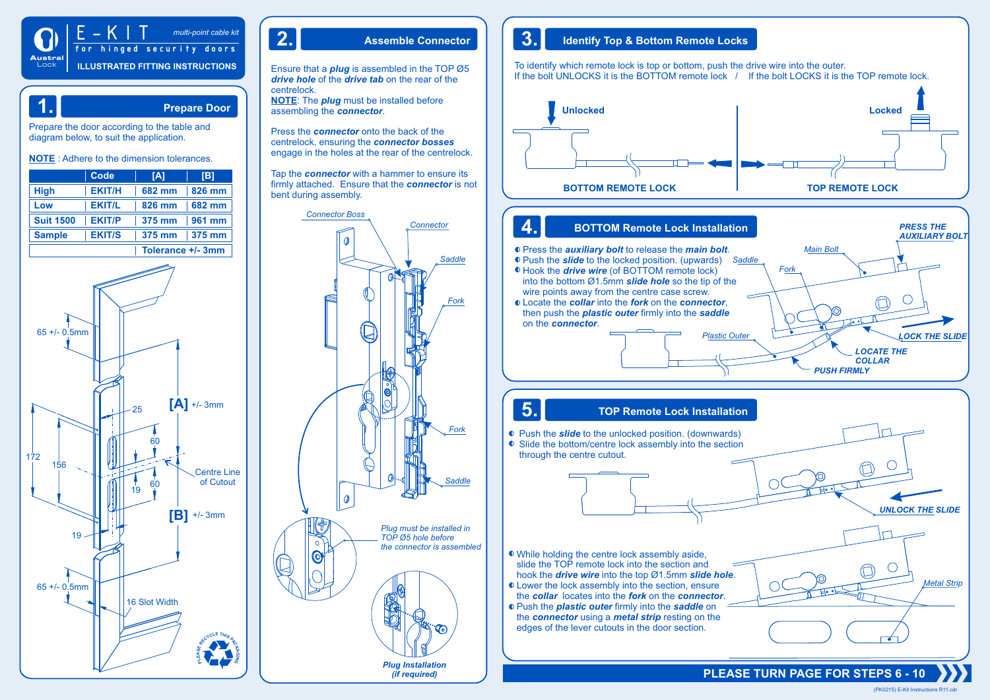

# Illustrated fitting instructions **ILLUSTRATED FITTING INSTRUCTIONS** E-KIT *multi-point cable kit* for hinged security doors

# **1. Prepare Door**

Prepare the door according to the table and diagram below, to suit the application.

**NOTE** : Adhere to the dimension tolerances.

|                  | Code          | [A]                  | [B]           |
|------------------|---------------|----------------------|---------------|
| <b>High</b>      | <b>EKIT/H</b> | 682 mm               | <b>826 mm</b> |
| Low              | <b>EKIT/L</b> | $\vert$ 826 mm       | $ 682$ mm     |
| <b>Suit 1500</b> | <b>EKIT/P</b> | $\frac{1}{2}$ 375 mm | $ 961$ mm     |
| <b>Sample</b>    | <b>EKIT/S</b> | $375 \text{ mm}$     | $375$ mm      |
|                  |               | Tolerance +/- 3mm    |               |



Ensure that a *plug* is assembled in the TOP Ø5 *drive hole* of the *drive tab* on the rear of the centrelock.

**NOTE**: The *plug* must be installed before assembling the *connector*.

Press the *connector* onto the back of the centrelock, ensuring the *connector bosses* engage in the holes at the rear of the centrelock.

Tap the *connector* with a hammer to ensure its firmly attached. Ensure that the *connector* is not bent during assembly.



# **2. Assemble Connector 3. Identify Top & Bottom Remote Locks**

To identify which remote lock is top or bottom, push the drive wire into the outer. If the bolt UNLOCKS it is the BOTTOM remote lock / If the bolt LOCKS it is the TOP remote lock.



*Plastic Outer*

# **4. BOTTOM Remote Lock Installation**

Press the *auxiliary bolt* to release the *main bolt*. *Main Bolt*

- *Saddle* Push the *slide* to the locked position. (upwards) Hook the *drive wire* (of BOTTOM remote lock) into the bottom Ø1.5mm *slide hole* so the tip of the wire points away from the centre case screw.
- Locate the *collar* into the *fork* on the *connector*, then push the *plastic outer* firmly into the *saddle* on the *connector*.

# **5. TOP Remote Lock Installation**

 Push the *slide* to the unlocked position. (downwards) ● Slide the bottom/centre lock assembly into the section through the centre cutout.

While holding the centre lock assembly aside, slide the TOP remote lock into the section and hook the *drive wire* into the top Ø1.5mm *slide hole*.

- $\bullet$  Lower the lock assembly into the section, ensure the *collar* locates into the *fork* on the *connector*.
- Push the *plastic outer* firmly into the *saddle* on the *connector* using a *metal strip* resting on the edges of the lever cutouts in the door section.

**PLEASE TURN PAGE FOR STEPS 6 - 10**

*PUSH FIRMLY*

*Fork*

*LOCATE THE COLLAR*

*LOCK THE SLIDE*

*PRESS THE AUXILIARY BOLT*

(PK0215) E-Kit Instructions R11.cdr

*UNLOCK THE SLIDE*

*Metal Strip*